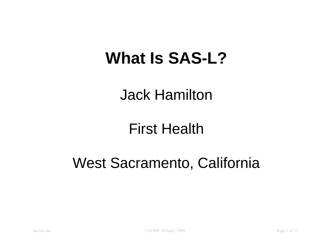#### **What Is SAS-L?**

#### Jack Hamilton

#### First Health

#### West Sacramento, California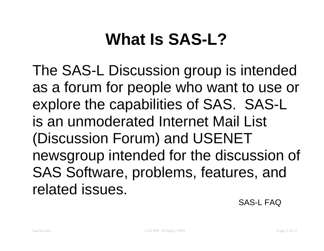# **What Is SAS-L?**

The SAS-L Discussion group is intended as <sup>a</sup> forum for people who want to use or explore the capabilities of SAS. SAS-L is an unmoderated Internet Mail List (Discussion Forum) and USENET newsgroup intended for the discussion of SAS Software, problems, features, and related issues.

SAS-L FAQ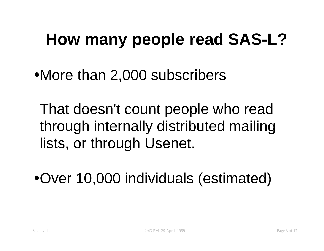# **How many people read SAS-L?**

•More than 2,000 subscribers

That doesn't count people who read through internally distributed mailing lists, or through Usenet.

•Over 10,000 individuals (estimated)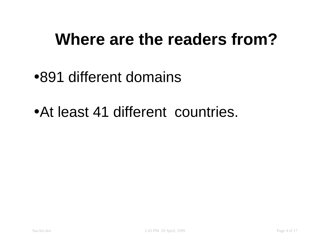### **Where are the readers from?**

#### •891 different domains

•At least 41 different countries.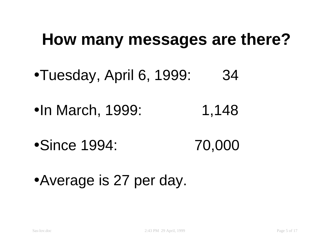#### **How many messages are there?**

- •Tuesday, April 6, 1999: 34
- •In March, 1999: 1,148
- •Since 1994: 70,000
- •Average is 27 per day.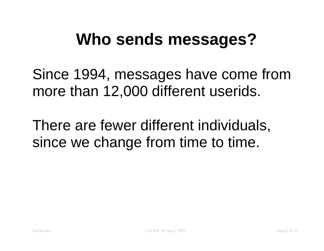### **Who sends messages?**

Since 1994, messages have come from more than 12,000 different userids.

There are fewer different individuals, since we change from time to time.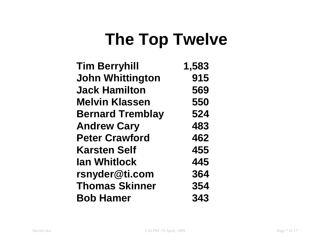## **The Top Twelve**

| <b>Tim Berryhill</b>    | 1,583 |
|-------------------------|-------|
| <b>John Whittington</b> | 915   |
| <b>Jack Hamilton</b>    | 569   |
| <b>Melvin Klassen</b>   | 550   |
| <b>Bernard Tremblay</b> | 524   |
| <b>Andrew Cary</b>      | 483   |
| <b>Peter Crawford</b>   | 462   |
| <b>Karsten Self</b>     | 455   |
| <b>Ian Whitlock</b>     | 445   |
| rsnyder@ti.com          | 364   |
| <b>Thomas Skinner</b>   | 354   |
| <b>Bob Hamer</b>        | 343   |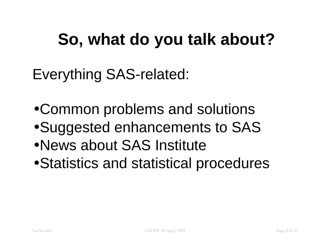# **So, what do you talk about?**

Everything SAS-related:

- •Common problems and solutions
- •Suggested enhancements to SAS
- •News about SAS Institute
- •Statistics and statistical procedures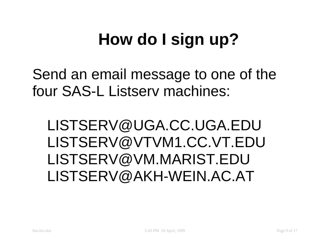# **How do I sign up?**

Send an email message to one of the four SAS-L Listserv machines:

LISTSERV@UGA.CC.UGA.EDU LISTSERV@VTVM1.CC.VT.EDU LISTSERV@VM.MARIST.EDU LISTSERV@AKH-WEIN.AC.AT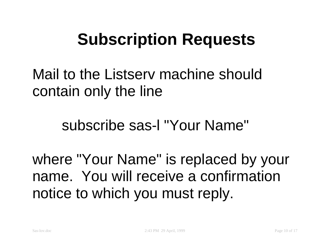## **Subscription Requests**

Mail to the Listserv machine should contain only the line

subscribe sas-l "Your Name"

where "Your Name" is replaced by your name. You will receive a confirmation notice to which you must reply.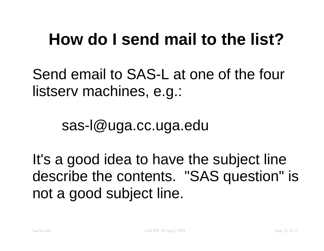## **How do I send mail to the list?**

Send email to SAS-L at one of the four listserv machines, e.g.:

sas-l@uga.cc.uga.edu

It's <sup>a</sup> good idea to have the subject line describe the contents. "SAS question" is not <sup>a</sup> good subject line.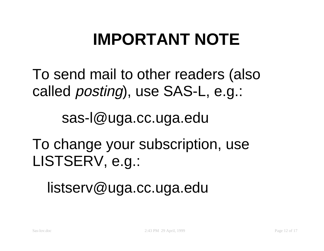# **IMPORTANT NOTE**

To send mail to other readers (also called posting), use SAS-L, e.g.:

sas-l@uga.cc.uga.edu

To change your subscription, use LISTSERV, e.g.:

listserv@uga.cc.uga.edu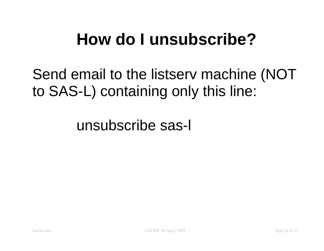## **How do I unsubscribe?**

Send email to the listserv machine (NOT to SAS-L) containing only this line:

unsubscribe sas-l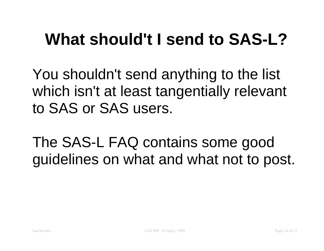## **What should't I send to SAS-L?**

You shouldn't send anything to the list which isn't at least tangentially relevant to SAS or SAS users.

The SAS-L FAQ contains some good guidelines on what and what not to post.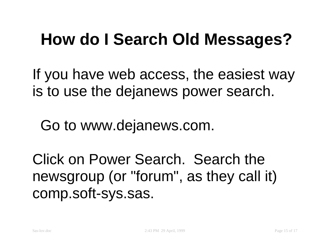## **How do I Search Old Messages?**

If you have web access, the easiest way is to use the dejanews power search.

Go to www.dejanews.com.

Click on Power Search. Search the newsgroup (or "forum", as they call it) comp.soft-sys.sas.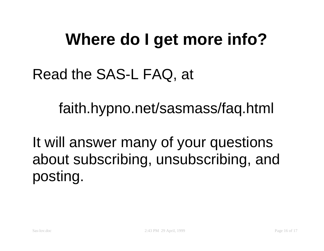## **Where do I get more info?**

#### Read the SAS-L FAQ, at

faith.hypno.net/sasmass/faq.html

It will answer many of your questions about subscribing, unsubscribing, and posting.